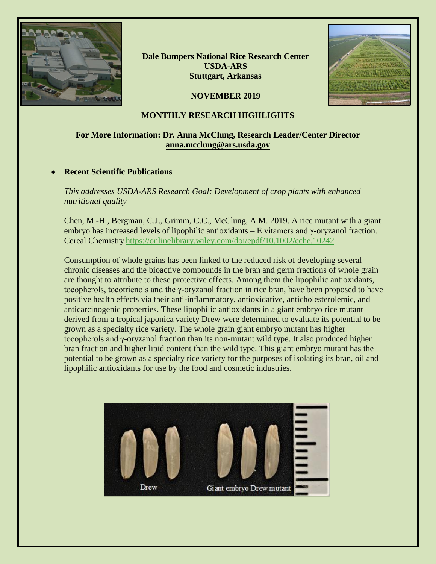

**Dale Bumpers National Rice Research Center USDA-ARS Stuttgart, Arkansas**



# **NOVEMBER 2019**

## **MONTHLY RESEARCH HIGHLIGHTS**

# **For More Information: Dr. Anna McClung, Research Leader/Center Director [anna.mcclung@ars.usda.gov](mailto:anna.mcclung@ars.usda.gov)**

## • **Recent Scientific Publications**

*This addresses USDA-ARS Research Goal: Development of crop plants with enhanced nutritional quality*

Chen, M.-H., Bergman, C.J., Grimm, C.C., McClung, A.M. 2019. A rice mutant with a giant embryo has increased levels of lipophilic antioxidants – E vitamers and  $\gamma$ -oryzanol fraction. Cereal Chemistry [https://onlinelibrary.wiley.com/doi/epdf/10.1002/cche.10242](https://gcc02.safelinks.protection.outlook.com/?url=https%3A%2F%2Fonlinelibrary.wiley.com%2Fdoi%2Fepdf%2F10.1002%2Fcche.10242&data=02%7C01%7C%7C35edbedc3bee41144fed08d778f8eec1%7Ced5b36e701ee4ebc867ee03cfa0d4697%7C0%7C0%7C637110882856132890&sdata=CE6UCtX%2BnHmMTCtNLboEZPYltUs0RzK%2BeqSqg0V6%2BwM%3D&reserved=0)

Consumption of whole grains has been linked to the reduced risk of developing several chronic diseases and the bioactive compounds in the bran and germ fractions of whole grain are thought to attribute to these protective effects. Among them the lipophilic antioxidants, tocopherols, tocotrienols and the γ-oryzanol fraction in rice bran, have been proposed to have positive health effects via their anti-inflammatory, antioxidative, anticholesterolemic, and anticarcinogenic properties. These lipophilic antioxidants in a giant embryo rice mutant derived from a tropical japonica variety Drew were determined to evaluate its potential to be grown as a specialty rice variety. The whole grain giant embryo mutant has higher tocopherols and γ-oryzanol fraction than its non-mutant wild type. It also produced higher bran fraction and higher lipid content than the wild type. This giant embryo mutant has the potential to be grown as a specialty rice variety for the purposes of isolating its bran, oil and lipophilic antioxidants for use by the food and cosmetic industries.

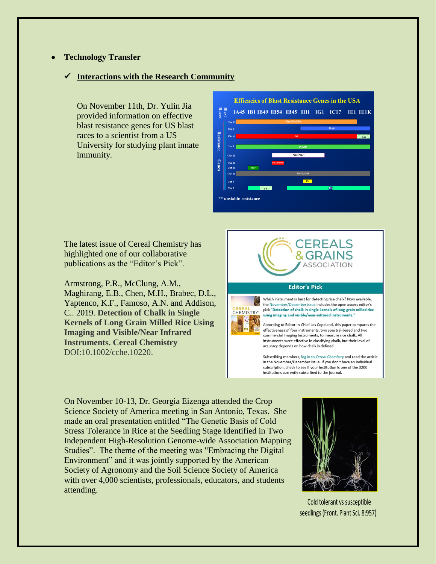### • **Technology Transfer**

#### ✓ **Interactions with the Research Community**

On November 11th, Dr. Yulin Jia provided information on effective blast resistance genes for US blast races to a scientist from a US University for studying plant innate immunity.



The latest issue of Cereal Chemistry has highlighted one of our collaborative publications as the "Editor's Pick".

Armstrong, P.R., McClung, A.M., Maghirang, E.B., Chen, M.H., Brabec, D.L., Yaptenco, K.F., Famoso, A.N. and Addison, C.. 2019. **Detection of Chalk in Single Kernels of Long Grain Milled Rice Using Imaging and Visible/Near Infrared Instruments. Cereal Chemistry**  DOI:10.1002/cche.10220.



accuracy depends on how chalk is defined.

Subscribing members, log in to Cereal Chemistry and read the article in the November/December issue. If you don't have an individual subscription, check to see if your institution is one of the 3200 institutions currently subscribed to the journal.

On November 10-13, Dr. Georgia Eizenga attended the Crop Science Society of America meeting in San Antonio, Texas. She made an oral presentation entitled "The Genetic Basis of Cold Stress Tolerance in Rice at the Seedling Stage Identified in Two Independent High-Resolution Genome-wide Association Mapping Studies". The theme of the meeting was "Embracing the Digital Environment" and it was jointly supported by the American Society of Agronomy and the Soil Science Society of America with over 4,000 scientists, professionals, educators, and students attending.



 Cold tolerant vs susceptible seedlings (Front. Plant Sci. 8:957)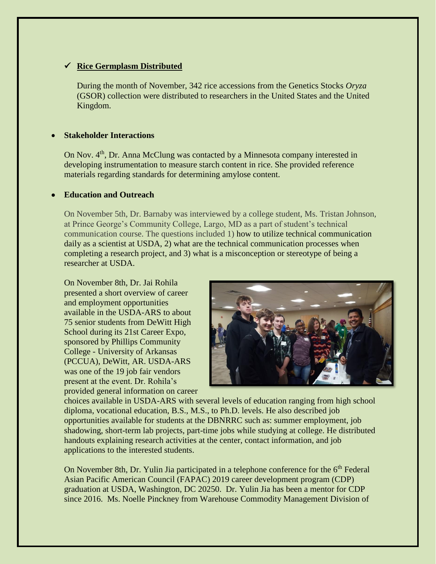## ✓ **Rice Germplasm Distributed**

During the month of November, 342 rice accessions from the Genetics Stocks *Oryza*  (GSOR) collection were distributed to researchers in the United States and the United Kingdom.

## • **Stakeholder Interactions**

On Nov. 4<sup>th</sup>, Dr. Anna McClung was contacted by a Minnesota company interested in developing instrumentation to measure starch content in rice. She provided reference materials regarding standards for determining amylose content.

### • **Education and Outreach**

On November 5th, Dr. Barnaby was interviewed by a college student, Ms. Tristan Johnson, at Prince George's Community College, Largo, MD as a part of student's technical communication course. The questions included 1) how to utilize technical communication daily as a scientist at USDA, 2) what are the technical communication processes when completing a research project, and 3) what is a misconception or stereotype of being a researcher at USDA.

On November 8th, Dr. Jai Rohila presented a short overview of career and employment opportunities available in the USDA-ARS to about 75 senior students from DeWitt High School during its 21st Career Expo, sponsored by Phillips Community College - University of Arkansas (PCCUA), DeWitt, AR. USDA-ARS was one of the 19 job fair vendors present at the event. Dr. Rohila's provided general information on career



choices available in USDA-ARS with several levels of education ranging from high school diploma, vocational education, B.S., M.S., to Ph.D. levels. He also described job opportunities available for students at the DBNRRC such as: summer employment, job shadowing, short-term lab projects, part-time jobs while studying at college. He distributed handouts explaining research activities at the center, contact information, and job applications to the interested students.

On November 8th, Dr. Yulin Jia participated in a telephone conference for the 6<sup>th</sup> Federal Asian Pacific American Council (FAPAC) 2019 career development program (CDP) graduation at USDA, Washington, DC 20250. Dr. Yulin Jia has been a mentor for CDP since 2016. Ms. Noelle Pinckney from Warehouse Commodity Management Division of